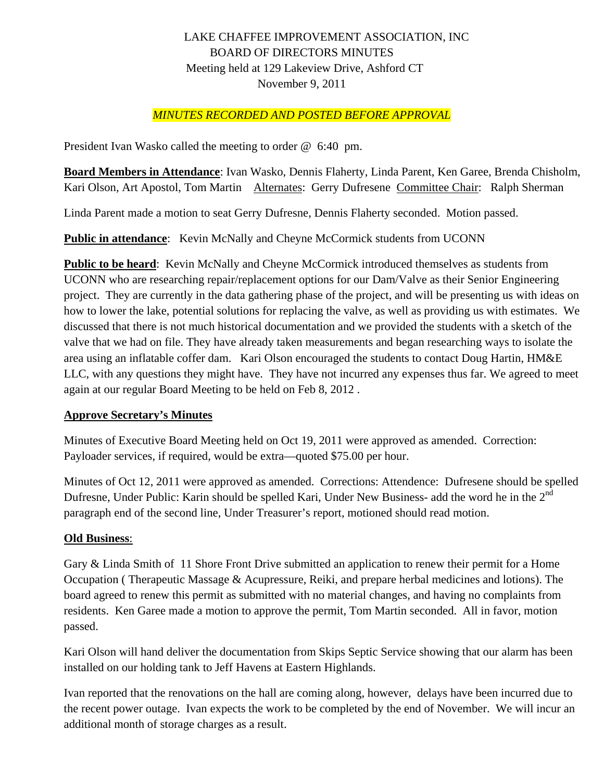# LAKE CHAFFEE IMPROVEMENT ASSOCIATION, INC BOARD OF DIRECTORS MINUTES Meeting held at 129 Lakeview Drive, Ashford CT November 9, 2011

## *MINUTES RECORDED AND POSTED BEFORE APPROVAL*

President Ivan Wasko called the meeting to order @ 6:40 pm.

**Board Members in Attendance**: Ivan Wasko, Dennis Flaherty, Linda Parent, Ken Garee, Brenda Chisholm, Kari Olson, Art Apostol, Tom Martin Alternates: Gerry Dufresene Committee Chair: Ralph Sherman

Linda Parent made a motion to seat Gerry Dufresne, Dennis Flaherty seconded. Motion passed.

**Public in attendance:** Kevin McNally and Cheyne McCormick students from UCONN

**Public to be heard:** Kevin McNally and Cheyne McCormick introduced themselves as students from UCONN who are researching repair/replacement options for our Dam/Valve as their Senior Engineering project. They are currently in the data gathering phase of the project, and will be presenting us with ideas on how to lower the lake, potential solutions for replacing the valve, as well as providing us with estimates. We discussed that there is not much historical documentation and we provided the students with a sketch of the valve that we had on file. They have already taken measurements and began researching ways to isolate the area using an inflatable coffer dam. Kari Olson encouraged the students to contact Doug Hartin, HM&E LLC, with any questions they might have. They have not incurred any expenses thus far. We agreed to meet again at our regular Board Meeting to be held on Feb 8, 2012 .

#### **Approve Secretary's Minutes**

Minutes of Executive Board Meeting held on Oct 19, 2011 were approved as amended. Correction: Payloader services, if required, would be extra—quoted \$75.00 per hour.

Minutes of Oct 12, 2011 were approved as amended. Corrections: Attendence: Dufresene should be spelled Dufresne, Under Public: Karin should be spelled Kari, Under New Business- add the word he in the 2<sup>nd</sup> paragraph end of the second line, Under Treasurer's report, motioned should read motion.

#### **Old Business**:

Gary & Linda Smith of 11 Shore Front Drive submitted an application to renew their permit for a Home Occupation ( Therapeutic Massage & Acupressure, Reiki, and prepare herbal medicines and lotions). The board agreed to renew this permit as submitted with no material changes, and having no complaints from residents. Ken Garee made a motion to approve the permit, Tom Martin seconded. All in favor, motion passed.

Kari Olson will hand deliver the documentation from Skips Septic Service showing that our alarm has been installed on our holding tank to Jeff Havens at Eastern Highlands.

Ivan reported that the renovations on the hall are coming along, however, delays have been incurred due to the recent power outage. Ivan expects the work to be completed by the end of November. We will incur an additional month of storage charges as a result.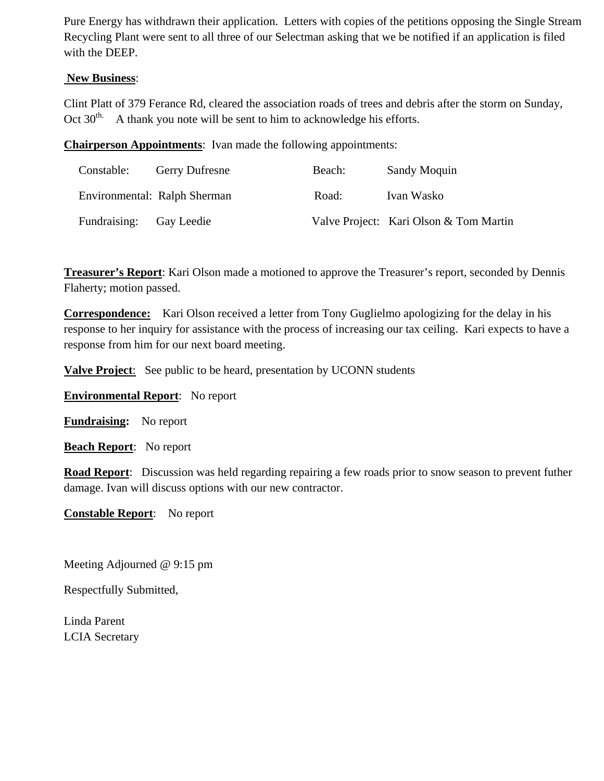Pure Energy has withdrawn their application. Letters with copies of the petitions opposing the Single Stream Recycling Plant were sent to all three of our Selectman asking that we be notified if an application is filed with the DEEP.

### **New Business**:

Clint Platt of 379 Ferance Rd, cleared the association roads of trees and debris after the storm on Sunday, Oct  $30<sup>th</sup>$ . A thank you note will be sent to him to acknowledge his efforts.

**Chairperson Appointments**: Ivan made the following appointments:

| Constable:   | <b>Gerry Dufresne</b>        | Beach: | Sandy Moquin                           |
|--------------|------------------------------|--------|----------------------------------------|
|              | Environmental: Ralph Sherman | Road:  | Ivan Wasko                             |
| Fundraising: | Gay Leedie                   |        | Valve Project: Kari Olson & Tom Martin |

**Treasurer's Report**: Kari Olson made a motioned to approve the Treasurer's report, seconded by Dennis Flaherty; motion passed.

**Correspondence:** Kari Olson received a letter from Tony Guglielmo apologizing for the delay in his response to her inquiry for assistance with the process of increasing our tax ceiling. Kari expects to have a response from him for our next board meeting.

**Valve Project**: See public to be heard, presentation by UCONN students

**Environmental Report**: No report

**Fundraising:** No report

**Beach Report**: No report

**Road Report**: Discussion was held regarding repairing a few roads prior to snow season to prevent futher damage. Ivan will discuss options with our new contractor.

**Constable Report**: No report

Meeting Adjourned @ 9:15 pm

Respectfully Submitted,

Linda Parent LCIA Secretary